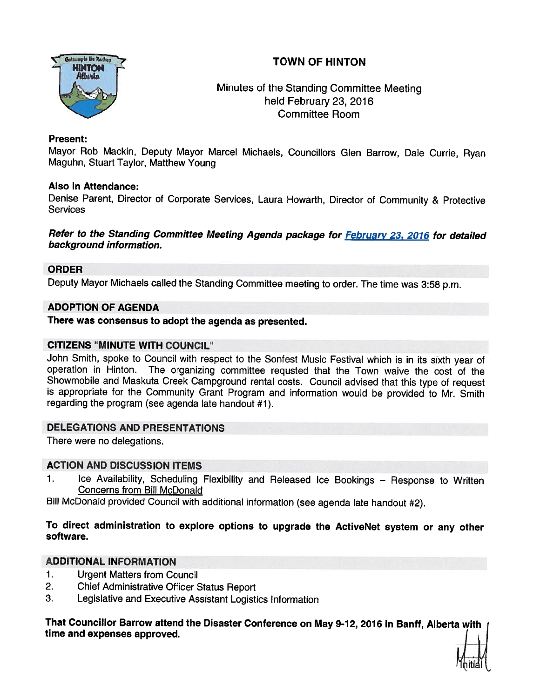# TOWN OF HINTON



Minutes of the Standing Committee Meeting held February 23, 2016 Committee Room

## Present:

Mayor Rob Mackin, Deputy Mayor Marcel Michaels, Councillors Glen Barrow, Dale Currie, Ryan Maguhn, Stuart Taylor, Matthew Young

## Also in Attendance:

Denise Parent, Director of Corporate Services, Laura Howarth, Director of Community & Protective **Services** 

Refer to the Standing Committee Meeting Agenda package for February 23, 2016 for detailed background information.

## ORDER

Deputy Mayor Michaels called the Standing Committee meeting to order. The time was 3:58 p.m.

# ADOPTION OF AGENDA

There was consensus to adopt the agenda as presented.

# CITIZENS "MINUTE WITH COUNCIL"

John Smith, spoke to Council with respec<sup>t</sup> to the Sonfest Music Festival which is in its sixth year of operation in Hinton. The organizing committee requsted that the Town waive the cost of the<br>Showmobile and Maskuta Creek Campground rental costs. Council advised that this type of request is appropriate for the Community Grant Program and information would be provided to Mr. Smith regarding the program (see agenda late handout #1).

# DELEGATIONS AND PRESENTATIONS

There were no delegations.

## ACTION AND DISCUSSION ITEMS

1. Ice Availability, Scheduling Flexibility and Released Ice Bookings - Response to Written Concerns from Bill McDonald

Bill McDonald provided Council with additional information (see agenda late handout #2).

# To direct administration to explore options to upgrade the ActiveNet system or any other software.

## ADDITIONAL INFORMATION

- 1. Urgent Matters from Council
- 2. Chief Administrative Officer Status Report
- 3. Legislative and Executive Assistant Logistics Information

That Councillor Barrow attend the Disaster Conference on May 9-12, 2016 in Banff, Alberta with time and expenses approved.

hitial